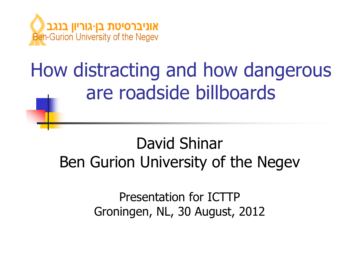

## How distracting and how dangerous are roadside billboards

#### David ShinarBen Gurion University of the Negev

Presentation for ICTTPGroningen, NL, 30 August, 2012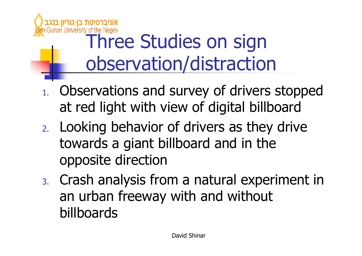

### Three Studies on sign observation/distraction

- 1. Observations and survey of drivers stopped at red light with view of digital billboard
- 2. Looking behavior of drivers as they drive towards a giant billboard and in the opposite direction
- 3. Crash analysis from a natural experiment in an urban freeway with and without billboards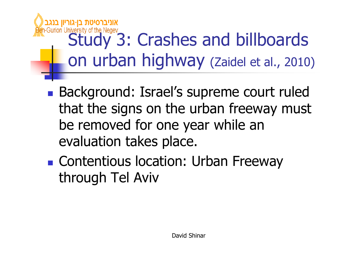# Gurion University of the Negev<br>Study 3: Crashes and billboards on urban highway (Zaidel et al., 2010)

- **Service Service Background: Israel's supreme court ruled** that the signs on the urban freeway must be removed for one year while an evaluation takes place.
- **Contentious location: Urban Freeway** through Tel Aviv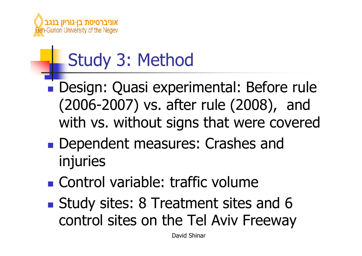

### Study 3: Method

- Design: Quasi experimental: Before rule (2006-2007) vs. after rule (2008), and with vs. without signs that were covered
- **Service Service Dependent measures: Crashes and** injuries
- **Service Service Control variable: traffic volume**
- **Service Service Study sites: 8 Treatment sites and 6** control sites on the Tel Aviv Freeway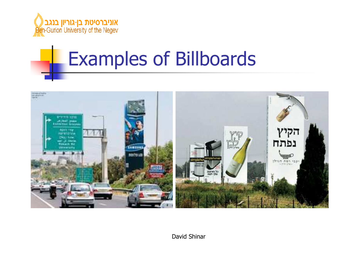

## Examples of Billboards

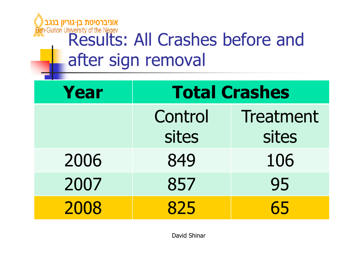## **Microproprise All Crashes before and Securion University of the Negev**<br>Results: All Crashes before and after sign removal

| <b>Year</b> | <b>Total Crashes</b> |                    |
|-------------|----------------------|--------------------|
|             | Control<br>sites     | Treatment<br>sites |
| 2006        | 849                  | 106                |
| 2007        | 857                  | 95                 |
| 2008        | 825                  | 65                 |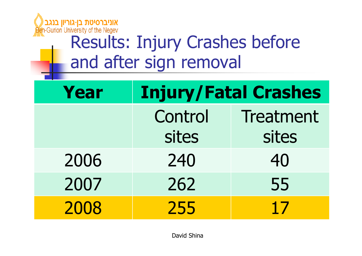

### Results: Injury Crashes before and after sign removal

| Year | <b>Injury/Fatal Crashes</b> |                           |
|------|-----------------------------|---------------------------|
|      | Control<br>sites            | <b>Treatment</b><br>sites |
| 2006 | 240                         | 40                        |
| 2007 | 262                         | 55                        |
| 2008 | 255                         | 17                        |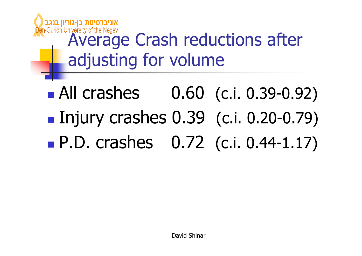

## a-Gurion University of the Negev<br>**Average Crash reductions after** adjusting for volume

■ All crashes 0.60 (c.i. 0.39-0.92) ■ Injury crashes 0.39 (c.i. 0.20-0.79) **Service Service** ■ P.D. crashes 0.72 (c.i. 0.44-1.17)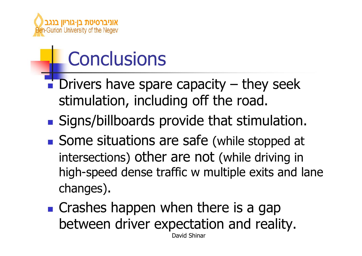

## **Conclusions**

- **Service Service**  Drivers have spare capacity – they seek stimulation, including off the road.
- **Signs/billboards provide that stimulation.**
- Some situations are safe (while stopped at intersections) other are not (while driving in high-speed dense traffic w multiple exits and lane changes).
- **Service Service Crashes happen when there is a gap** between driver expectation and reality. David Shinar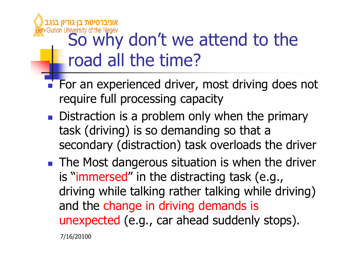## Gurion University of the Negev don't we attend to the road all the time?

- $\overline{\mathbb{R}^2}$ For an experienced driver, most driving does not require full processing capacity
- **Distraction is a problem only when the primary** task (driving) is so demanding so that a secondary (distraction) task overloads the driver
- $\overline{\mathbb{R}}$ **The Most dangerous situation is when the driver** is "immersed" in the distracting task (e.g., driving while talking rather talking while driving) and the change in driving demands is unexpected (e.g., car ahead suddenly stops).

7/16/20100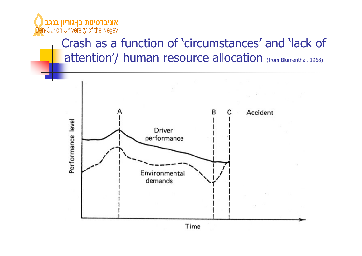

#### Crash as a function of 'circumstances' and 'lack of attention'/ human resource allocation (from Blumenthal, 1968)

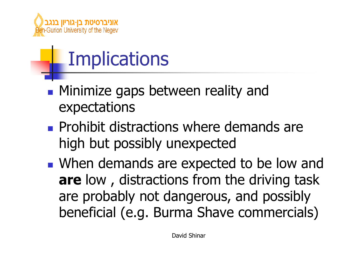

## **Implications**

- **Service Service • Minimize gaps between reality and** expectations
- **Service Service Prohibit distractions where demands are** high but possibly unexpected
- **Notai** When demands are expected to be low and **are** low , distractions from the driving task are probably not dangerous, and possibly beneficial (e.g. Burma Shave commercials)